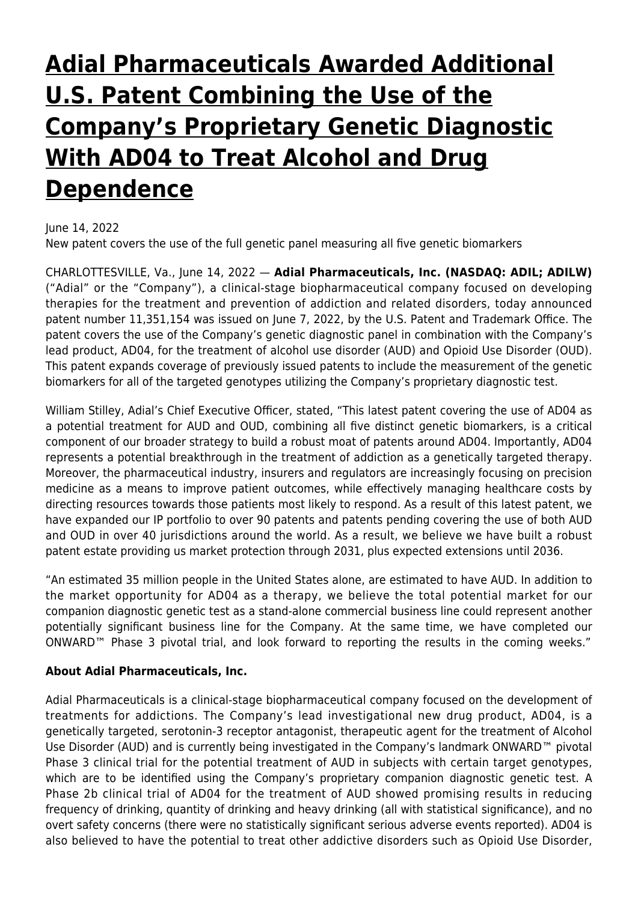# **[Adial Pharmaceuticals Awarded Additional](https://www.adial.com/adial-pharmaceuticals-awarded-additional-u-s-patent-combining-the-use-of-the-companys-proprietary-genetic-diagnostic-with-ad04-to-treat-alcohol-and-drug-dependence/) [U.S. Patent Combining the Use of the](https://www.adial.com/adial-pharmaceuticals-awarded-additional-u-s-patent-combining-the-use-of-the-companys-proprietary-genetic-diagnostic-with-ad04-to-treat-alcohol-and-drug-dependence/) [Company's Proprietary Genetic Diagnostic](https://www.adial.com/adial-pharmaceuticals-awarded-additional-u-s-patent-combining-the-use-of-the-companys-proprietary-genetic-diagnostic-with-ad04-to-treat-alcohol-and-drug-dependence/) [With AD04 to Treat Alcohol and Drug](https://www.adial.com/adial-pharmaceuticals-awarded-additional-u-s-patent-combining-the-use-of-the-companys-proprietary-genetic-diagnostic-with-ad04-to-treat-alcohol-and-drug-dependence/) [Dependence](https://www.adial.com/adial-pharmaceuticals-awarded-additional-u-s-patent-combining-the-use-of-the-companys-proprietary-genetic-diagnostic-with-ad04-to-treat-alcohol-and-drug-dependence/)**

### June 14, 2022

New patent covers the use of the full genetic panel measuring all five genetic biomarkers

CHARLOTTESVILLE, Va., June 14, 2022 — **Adial Pharmaceuticals, Inc. (NASDAQ: ADIL; ADILW)** ("Adial" or the "Company"), a clinical-stage biopharmaceutical company focused on developing therapies for the treatment and prevention of addiction and related disorders, today announced patent number 11,351,154 was issued on June 7, 2022, by the U.S. Patent and Trademark Office. The patent covers the use of the Company's genetic diagnostic panel in combination with the Company's lead product, AD04, for the treatment of alcohol use disorder (AUD) and Opioid Use Disorder (OUD). This patent expands coverage of previously issued patents to include the measurement of the genetic biomarkers for all of the targeted genotypes utilizing the Company's proprietary diagnostic test.

William Stilley, Adial's Chief Executive Officer, stated, "This latest patent covering the use of AD04 as a potential treatment for AUD and OUD, combining all five distinct genetic biomarkers, is a critical component of our broader strategy to build a robust moat of patents around AD04. Importantly, AD04 represents a potential breakthrough in the treatment of addiction as a genetically targeted therapy. Moreover, the pharmaceutical industry, insurers and regulators are increasingly focusing on precision medicine as a means to improve patient outcomes, while effectively managing healthcare costs by directing resources towards those patients most likely to respond. As a result of this latest patent, we have expanded our IP portfolio to over 90 patents and patents pending covering the use of both AUD and OUD in over 40 jurisdictions around the world. As a result, we believe we have built a robust patent estate providing us market protection through 2031, plus expected extensions until 2036.

"An estimated 35 million people in the United States alone, are estimated to have AUD. In addition to the market opportunity for AD04 as a therapy, we believe the total potential market for our companion diagnostic genetic test as a stand-alone commercial business line could represent another potentially significant business line for the Company. At the same time, we have completed our ONWARD™ Phase 3 pivotal trial, and look forward to reporting the results in the coming weeks."

#### **About Adial Pharmaceuticals, Inc.**

Adial Pharmaceuticals is a clinical-stage biopharmaceutical company focused on the development of treatments for addictions. The Company's lead investigational new drug product, AD04, is a genetically targeted, serotonin-3 receptor antagonist, therapeutic agent for the treatment of Alcohol Use Disorder (AUD) and is currently being investigated in the Company's landmark ONWARD™ pivotal Phase 3 clinical trial for the potential treatment of AUD in subjects with certain target genotypes, which are to be identified using the Company's proprietary companion diagnostic genetic test. A Phase 2b clinical trial of AD04 for the treatment of AUD showed promising results in reducing frequency of drinking, quantity of drinking and heavy drinking (all with statistical significance), and no overt safety concerns (there were no statistically significant serious adverse events reported). AD04 is also believed to have the potential to treat other addictive disorders such as Opioid Use Disorder,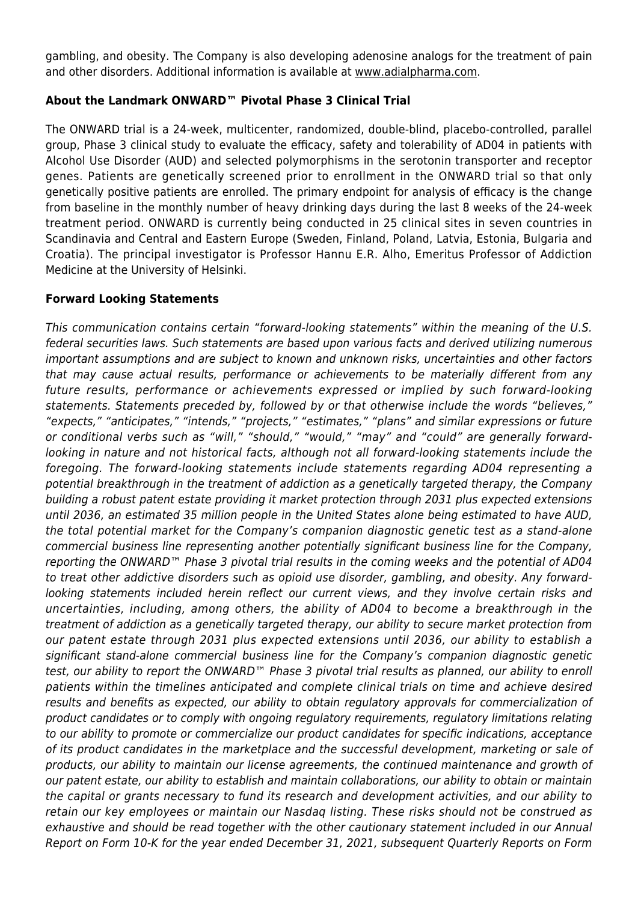gambling, and obesity. The Company is also developing adenosine analogs for the treatment of pain and other disorders. Additional information is available at [www.adialpharma.com](https://www.globenewswire.com/Tracker?data=ZOheJgEUoIB3_bLg0p95iCM0kQdhQqjuUlJdy71qfICrP-TGdCm2E2aqFeEi67aTZFa_xvI0UsVKaJQQQ59dL9hTn8SswUGA4PCxCeciuy0=).

# **About the Landmark ONWARD™ Pivotal Phase 3 Clinical Trial**

The ONWARD trial is a 24-week, multicenter, randomized, double-blind, placebo-controlled, parallel group, Phase 3 clinical study to evaluate the efficacy, safety and tolerability of AD04 in patients with Alcohol Use Disorder (AUD) and selected polymorphisms in the serotonin transporter and receptor genes. Patients are genetically screened prior to enrollment in the ONWARD trial so that only genetically positive patients are enrolled. The primary endpoint for analysis of efficacy is the change from baseline in the monthly number of heavy drinking days during the last 8 weeks of the 24-week treatment period. ONWARD is currently being conducted in 25 clinical sites in seven countries in Scandinavia and Central and Eastern Europe (Sweden, Finland, Poland, Latvia, Estonia, Bulgaria and Croatia). The principal investigator is Professor Hannu E.R. Alho, Emeritus Professor of Addiction Medicine at the University of Helsinki.

### **Forward Looking Statements**

This communication contains certain "forward-looking statements" within the meaning of the U.S. federal securities laws. Such statements are based upon various facts and derived utilizing numerous important assumptions and are subject to known and unknown risks, uncertainties and other factors that may cause actual results, performance or achievements to be materially different from any future results, performance or achievements expressed or implied by such forward-looking statements. Statements preceded by, followed by or that otherwise include the words "believes," "expects," "anticipates," "intends," "projects," "estimates," "plans" and similar expressions or future or conditional verbs such as "will," "should," "would," "may" and "could" are generally forwardlooking in nature and not historical facts, although not all forward-looking statements include the foregoing. The forward-looking statements include statements regarding AD04 representing a potential breakthrough in the treatment of addiction as a genetically targeted therapy, the Company building a robust patent estate providing it market protection through 2031 plus expected extensions until 2036, an estimated 35 million people in the United States alone being estimated to have AUD, the total potential market for the Company's companion diagnostic genetic test as a stand-alone commercial business line representing another potentially significant business line for the Company, reporting the ONWARD™ Phase 3 pivotal trial results in the coming weeks and the potential of AD04 to treat other addictive disorders such as opioid use disorder, gambling, and obesity. Any forwardlooking statements included herein reflect our current views, and they involve certain risks and uncertainties, including, among others, the ability of AD04 to become a breakthrough in the treatment of addiction as a genetically targeted therapy, our ability to secure market protection from our patent estate through 2031 plus expected extensions until 2036, our ability to establish a significant stand-alone commercial business line for the Company's companion diagnostic genetic test, our ability to report the ONWARD<sup>™</sup> Phase 3 pivotal trial results as planned, our ability to enroll patients within the timelines anticipated and complete clinical trials on time and achieve desired results and benefits as expected, our ability to obtain regulatory approvals for commercialization of product candidates or to comply with ongoing regulatory requirements, regulatory limitations relating to our ability to promote or commercialize our product candidates for specific indications, acceptance of its product candidates in the marketplace and the successful development, marketing or sale of products, our ability to maintain our license agreements, the continued maintenance and growth of our patent estate, our ability to establish and maintain collaborations, our ability to obtain or maintain the capital or grants necessary to fund its research and development activities, and our ability to retain our key employees or maintain our Nasdaq listing. These risks should not be construed as exhaustive and should be read together with the other cautionary statement included in our Annual Report on Form 10-K for the year ended December 31, 2021, subsequent Quarterly Reports on Form